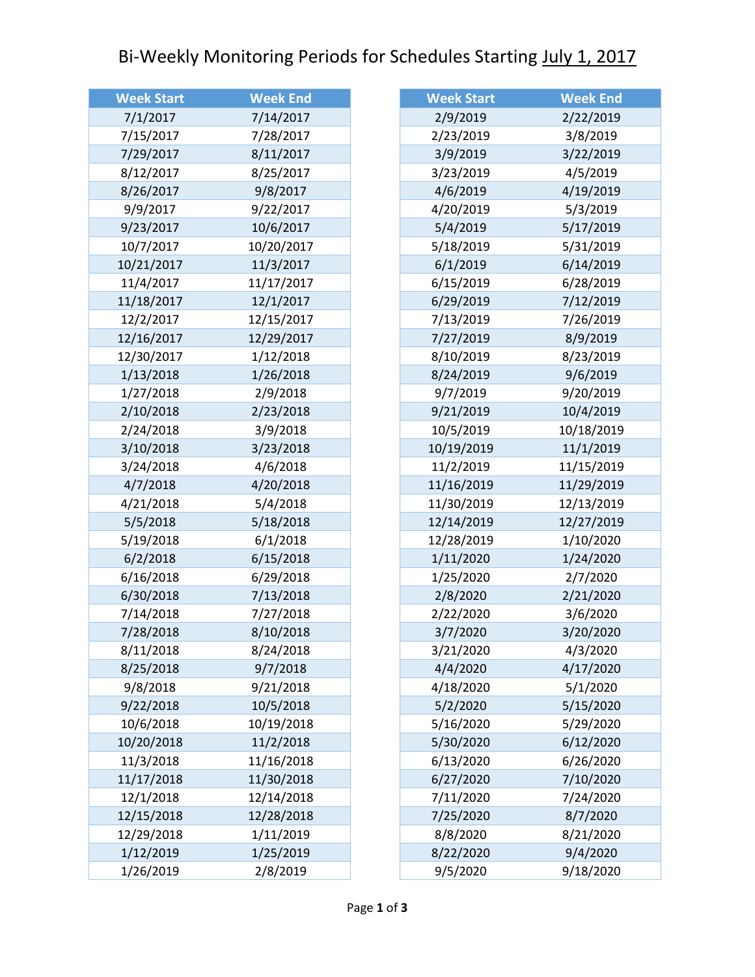## Bi-Weekly Monitoring Periods for Schedules Starting July 1, 2017

| <b>Week Start</b> | <b>Week End</b> |
|-------------------|-----------------|
| 7/1/2017          | 7/14/2017       |
| 7/15/2017         | 7/28/2017       |
| 7/29/2017         | 8/11/2017       |
| 8/12/2017         | 8/25/2017       |
| 8/26/2017         | 9/8/2017        |
| 9/9/2017          | 9/22/2017       |
| 9/23/2017         | 10/6/2017       |
| 10/7/2017         | 10/20/2017      |
| 10/21/2017        | 11/3/2017       |
| 11/4/2017         | 11/17/2017      |
| 11/18/2017        | 12/1/2017       |
| 12/2/2017         | 12/15/2017      |
| 12/16/2017        | 12/29/2017      |
| 12/30/2017        | 1/12/2018       |
| 1/13/2018         | 1/26/2018       |
| 1/27/2018         | 2/9/2018        |
| 2/10/2018         | 2/23/2018       |
| 2/24/2018         | 3/9/2018        |
| 3/10/2018         | 3/23/2018       |
| 3/24/2018         | 4/6/2018        |
| 4/7/2018          | 4/20/2018       |
| 4/21/2018         | 5/4/2018        |
| 5/5/2018          | 5/18/2018       |
| 5/19/2018         | 6/1/2018        |
| 6/2/2018          | 6/15/2018       |
| 6/16/2018         | 6/29/2018       |
| 6/30/2018         | 7/13/2018       |
| 7/14/2018         | 7/27/2018       |
| 7/28/2018         | 8/10/2018       |
| 8/11/2018         | 8/24/2018       |
| 8/25/2018         | 9/7/2018        |
| 9/8/2018          | 9/21/2018       |
| 9/22/2018         | 10/5/2018       |
| 10/6/2018         | 10/19/2018      |
| 10/20/2018        | 11/2/2018       |
| 11/3/2018         | 11/16/2018      |
| 11/17/2018        | 11/30/2018      |
| 12/1/2018         | 12/14/2018      |
| 12/15/2018        | 12/28/2018      |
| 12/29/2018        | 1/11/2019       |
| 1/12/2019         | 1/25/2019       |
| 1/26/2019         | 2/8/2019        |

| <b>Week Start</b> | <b>Week End</b> |
|-------------------|-----------------|
| 2/9/2019          | 2/22/2019       |
| 2/23/2019         | 3/8/2019        |
| 3/9/2019          | 3/22/2019       |
| 3/23/2019         | 4/5/2019        |
| 4/6/2019          | 4/19/2019       |
| 4/20/2019         | 5/3/2019        |
| 5/4/2019          | 5/17/2019       |
| 5/18/2019         | 5/31/2019       |
| 6/1/2019          | 6/14/2019       |
| 6/15/2019         | 6/28/2019       |
| 6/29/2019         | 7/12/2019       |
| 7/13/2019         | 7/26/2019       |
| 7/27/2019         | 8/9/2019        |
| 8/10/2019         | 8/23/2019       |
| 8/24/2019         | 9/6/2019        |
| 9/7/2019          | 9/20/2019       |
| 9/21/2019         | 10/4/2019       |
| 10/5/2019         | 10/18/2019      |
| 10/19/2019        | 11/1/2019       |
| 11/2/2019         | 11/15/2019      |
| 11/16/2019        | 11/29/2019      |
| 11/30/2019        | 12/13/2019      |
| 12/14/2019        | 12/27/2019      |
| 12/28/2019        | 1/10/2020       |
| 1/11/2020         | 1/24/2020       |
| 1/25/2020         | 2/7/2020        |
| 2/8/2020          | 2/21/2020       |
| 2/22/2020         | 3/6/2020        |
| 3/7/2020          | 3/20/2020       |
| 3/21/2020         | 4/3/2020        |
| 4/4/2020          | 4/17/2020       |
| 4/18/2020         | 5/1/2020        |
| 5/2/2020          | 5/15/2020       |
| 5/16/2020         | 5/29/2020       |
| 5/30/2020         | 6/12/2020       |
| 6/13/2020         | 6/26/2020       |
| 6/27/2020         | 7/10/2020       |
| 7/11/2020         | 7/24/2020       |
| 7/25/2020         | 8/7/2020        |
| 8/8/2020          | 8/21/2020       |
| 8/22/2020         | 9/4/2020        |
| 9/5/2020          | 9/18/2020       |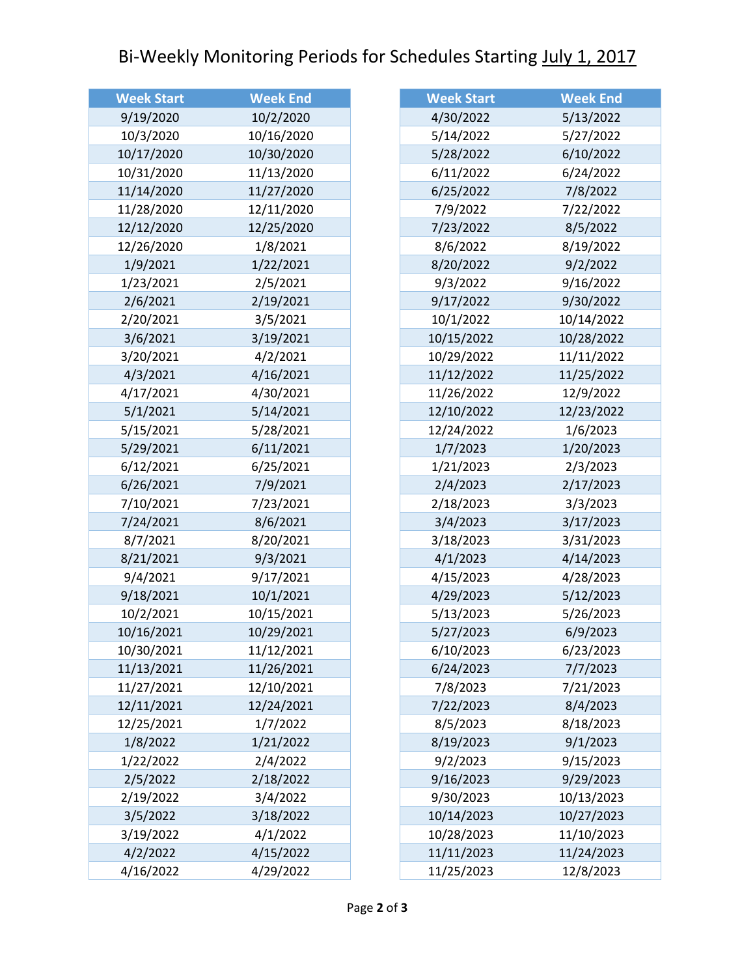## Bi-Weekly Monitoring Periods for Schedules Starting July 1, 2017

| <b>Week Start</b> | <b>Week End</b> |
|-------------------|-----------------|
| 9/19/2020         | 10/2/2020       |
| 10/3/2020         | 10/16/2020      |
| 10/17/2020        | 10/30/2020      |
| 10/31/2020        | 11/13/2020      |
| 11/14/2020        | 11/27/2020      |
| 11/28/2020        | 12/11/2020      |
| 12/12/2020        | 12/25/2020      |
| 12/26/2020        | 1/8/2021        |
| 1/9/2021          | 1/22/2021       |
| 1/23/2021         | 2/5/2021        |
| 2/6/2021          | 2/19/2021       |
| 2/20/2021         | 3/5/2021        |
| 3/6/2021          | 3/19/2021       |
| 3/20/2021         | 4/2/2021        |
| 4/3/2021          | 4/16/2021       |
| 4/17/2021         | 4/30/2021       |
| 5/1/2021          | 5/14/2021       |
| 5/15/2021         | 5/28/2021       |
| 5/29/2021         | 6/11/2021       |
| 6/12/2021         | 6/25/2021       |
| 6/26/2021         | 7/9/2021        |
| 7/10/2021         | 7/23/2021       |
| 7/24/2021         | 8/6/2021        |
| 8/7/2021          | 8/20/2021       |
| 8/21/2021         | 9/3/2021        |
| 9/4/2021          | 9/17/2021       |
| 9/18/2021         | 10/1/2021       |
| 10/2/2021         | 10/15/2021      |
| 10/16/2021        | 10/29/2021      |
| 10/30/2021        | 11/12/2021      |
| 11/13/2021        | 11/26/2021      |
| 11/27/2021        | 12/10/2021      |
| 12/11/2021        | 12/24/2021      |
| 12/25/2021        | 1/7/2022        |
| 1/8/2022          | 1/21/2022       |
| 1/22/2022         | 2/4/2022        |
| 2/5/2022          | 2/18/2022       |
| 2/19/2022         | 3/4/2022        |
| 3/5/2022          | 3/18/2022       |
| 3/19/2022         | 4/1/2022        |
| 4/2/2022          | 4/15/2022       |
| 4/16/2022         | 4/29/2022       |

| <b>Week Start</b> | <b>Week End</b> |
|-------------------|-----------------|
| 4/30/2022         | 5/13/2022       |
| 5/14/2022         | 5/27/2022       |
| 5/28/2022         | 6/10/2022       |
| 6/11/2022         | 6/24/2022       |
| 6/25/2022         | 7/8/2022        |
| 7/9/2022          | 7/22/2022       |
| 7/23/2022         | 8/5/2022        |
| 8/6/2022          | 8/19/2022       |
| 8/20/2022         | 9/2/2022        |
| 9/3/2022          | 9/16/2022       |
| 9/17/2022         | 9/30/2022       |
| 10/1/2022         | 10/14/2022      |
| 10/15/2022        | 10/28/2022      |
| 10/29/2022        | 11/11/2022      |
| 11/12/2022        | 11/25/2022      |
| 11/26/2022        | 12/9/2022       |
| 12/10/2022        | 12/23/2022      |
| 12/24/2022        | 1/6/2023        |
| 1/7/2023          | 1/20/2023       |
| 1/21/2023         | 2/3/2023        |
| 2/4/2023          | 2/17/2023       |
| 2/18/2023         | 3/3/2023        |
| 3/4/2023          | 3/17/2023       |
| 3/18/2023         | 3/31/2023       |
| 4/1/2023          | 4/14/2023       |
| 4/15/2023         | 4/28/2023       |
| 4/29/2023         | 5/12/2023       |
| 5/13/2023         | 5/26/2023       |
| 5/27/2023         | 6/9/2023        |
| 6/10/2023         | 6/23/2023       |
| 6/24/2023         | 7/7/2023        |
| 7/8/2023          | 7/21/2023       |
| 7/22/2023         | 8/4/2023        |
| 8/5/2023          | 8/18/2023       |
| 8/19/2023         | 9/1/2023        |
| 9/2/2023          | 9/15/2023       |
| 9/16/2023         | 9/29/2023       |
| 9/30/2023         | 10/13/2023      |
| 10/14/2023        | 10/27/2023      |
| 10/28/2023        | 11/10/2023      |
| 11/11/2023        | 11/24/2023      |
| 11/25/2023        | 12/8/2023       |